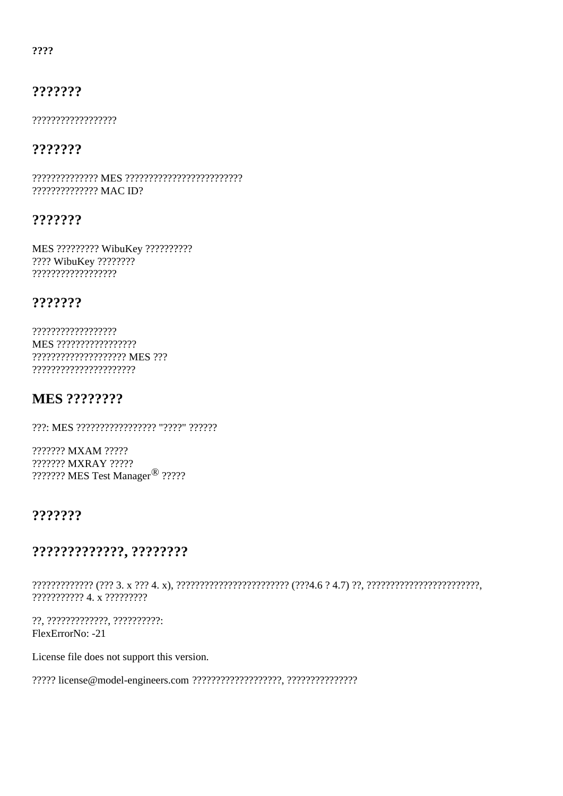????

## ???????

??????????????????

## ???????

?????????????? MAC ID?

## ???????

MES ????????? WibuKey ?????????? ???? WibuKey ???????? ??????????????????

## ???????

?????????????????? MES ????????????????? ????????????????????? MES ??? ??????????????????????

## MES ????????

???: MES ????????????????? "????" ??????

??????? MXAM ????? ??????? MXRAY ????? ??????? MES Test Manage?????

## ???????

### ?????????????, ????????

????????????? (??? 3. x ??? 4. x), ???????????????????????? (???4.6 ? 4.7) ??, ??????????????????????????????? ??????????? 4. x ?????????

??, ?????????????, ?????????? FlexErrorNo: -21

License file does not support this version.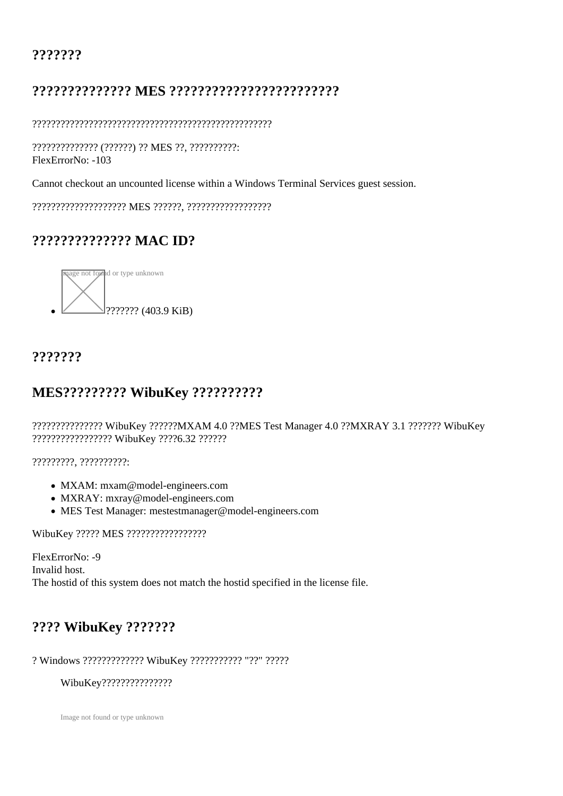## ???????

# ?????????????? MES ????????????????????????

???????????????????????????????????????????????????

?????????????? (??????) ?? MES ??, ??????????: FlexErrorNo: -103

Cannot checkout an uncounted license within a Windows Terminal Services guest session.

???????????????????? MES ??????, ??????????????????

# ?????????????? MAC ID?



# ???????

# MES????????? WibuKey ??????????

??????????????? WibuKey ??????MXAM 4.0 ??MES Test Manager 4.0 ??MXRAY 3.1 ??????? WibuKey ????????????????? WibuKey ????6.32 ??????

?????????, ??????????:

- MXAM: [mxam@model-engineers.co](mailto:mxam@model-engineers.com)m
- MXRAY: [mxray@model-engineers.co](mailto:mxray@model-engineers.com)m
- MES Test Managemestestmanager@model-engineers.com

WibuKey ????? MES ?????????????????

FlexErrorNo: -9 Invalid host. The hostid of this system does not match the hostid specified in the license file.

## ???? WibuKey ???????

### ? Windows ????????????? WibuKey ??????????? "??" ?????

### WibuKey???????????????

Image not found or type unknown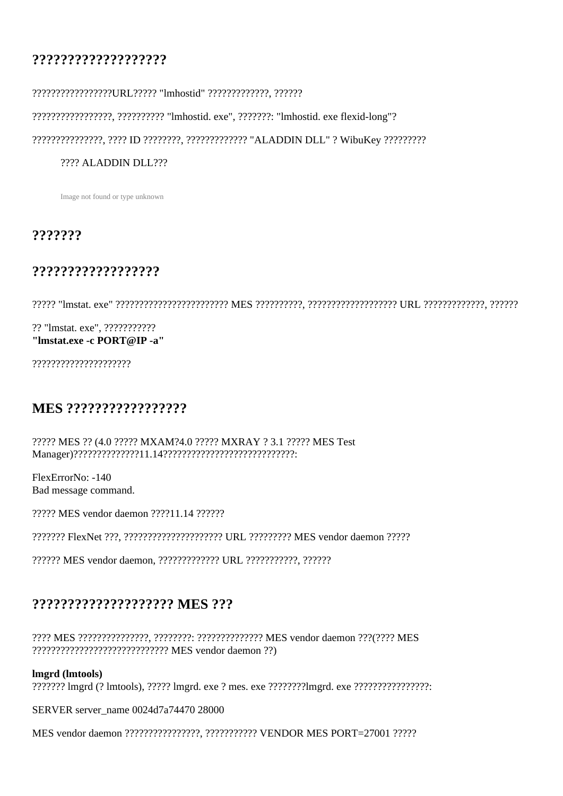## **???????????????????**

#### ?????????????????URL????? "lmhostid" ?????????????, ??????

?????????????????, ?????????? "lmhostid. exe", ???????: "lmhostid. exe flexid-long"?

???????????????, ???? ID ????????, ????????????? "ALADDIN DLL" ? WibuKey ?????????

#### ???? ALADDIN DLL???

Image not found or type unknown

#### **???????**

#### **??????????????????**

????? "lmstat. exe" ???????????????????????? MES ??????????, ??????????????????? URL ?????????????, ??????

?? "lmstat. exe", ??????????? **"lmstat.exe -c PORT@IP -a"**

?????????????????????

## **MES ?????????????????**

????? MES ?? (4.0 ????? MXAM?4.0 ????? MXRAY ? 3.1 ????? MES Test Manager)??????????????11.14????????????????????????????:

FlexErrorNo: -140 Bad message command.

????? MES vendor daemon ????11.14 ??????

??????? FlexNet ???, ????????????????????? URL ????????? MES vendor daemon ?????

?????? MES vendor daemon, ????????????? URL ???????????, ??????

### **???????????????????? MES ???**

???? MES ???????????????, ????????: ?????????????? MES vendor daemon ???(???? MES ????????????????????????????? MES vendor daemon ??)

#### **lmgrd (lmtools)**

??????? lmgrd (? lmtools), ????? lmgrd. exe ? mes. exe ????????lmgrd. exe ????????????????:

SERVER server\_name 0024d7a74470 28000

MES vendor daemon ????????????????, ??????????? VENDOR MES PORT=27001 ?????